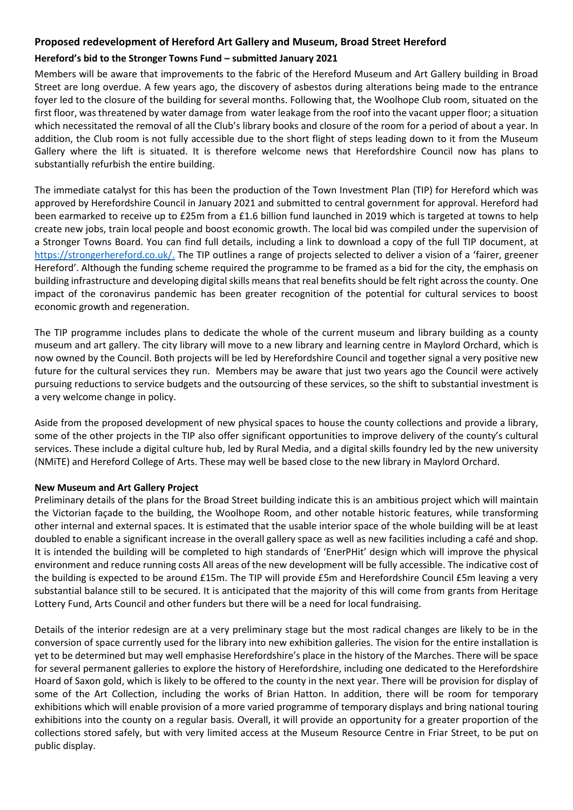## **Proposed redevelopment of Hereford Art Gallery and Museum, Broad Street Hereford**

## **Hereford's bid to the Stronger Towns Fund – submitted January 2021**

Members will be aware that improvements to the fabric of the Hereford Museum and Art Gallery building in Broad Street are long overdue. A few years ago, the discovery of asbestos during alterations being made to the entrance foyer led to the closure of the building for several months. Following that, the Woolhope Club room, situated on the first floor, was threatened by water damage from water leakage from the roof into the vacant upper floor; a situation which necessitated the removal of all the Club's library books and closure of the room for a period of about a year. In addition, the Club room is not fully accessible due to the short flight of steps leading down to it from the Museum Gallery where the lift is situated. It is therefore welcome news that Herefordshire Council now has plans to substantially refurbish the entire building.

The immediate catalyst for this has been the production of the Town Investment Plan (TIP) for Hereford which was approved by Herefordshire Council in January 2021 and submitted to central government for approval. Hereford had been earmarked to receive up to £25m from a £1.6 billion fund launched in 2019 which is targeted at towns to help create new jobs, train local people and boost economic growth. The local bid was compiled under the supervision of a Stronger Towns Board. You can find full details, including a link to download a copy of the full TIP document, at [https://strongerhereford.co.uk/.](https://strongerhereford.co.uk/) The TIP outlines a range of projects selected to deliver a vision of a 'fairer, greener Hereford'. Although the funding scheme required the programme to be framed as a bid for the city, the emphasis on building infrastructure and developing digital skills means that real benefits should be felt right across the county. One impact of the coronavirus pandemic has been greater recognition of the potential for cultural services to boost economic growth and regeneration.

The TIP programme includes plans to dedicate the whole of the current museum and library building as a county museum and art gallery. The city library will move to a new library and learning centre in Maylord Orchard, which is now owned by the Council. Both projects will be led by Herefordshire Council and together signal a very positive new future for the cultural services they run. Members may be aware that just two years ago the Council were actively pursuing reductions to service budgets and the outsourcing of these services, so the shift to substantial investment is a very welcome change in policy.

Aside from the proposed development of new physical spaces to house the county collections and provide a library, some of the other projects in the TIP also offer significant opportunities to improve delivery of the county's cultural services. These include a digital culture hub, led by Rural Media, and a digital skills foundry led by the new university (NMiTE) and Hereford College of Arts. These may well be based close to the new library in Maylord Orchard.

## **New Museum and Art Gallery Project**

Preliminary details of the plans for the Broad Street building indicate this is an ambitious project which will maintain the Victorian façade to the building, the Woolhope Room, and other notable historic features, while transforming other internal and external spaces. It is estimated that the usable interior space of the whole building will be at least doubled to enable a significant increase in the overall gallery space as well as new facilities including a café and shop. It is intended the building will be completed to high standards of 'EnerPHit' design which will improve the physical environment and reduce running costs All areas of the new development will be fully accessible. The indicative cost of the building is expected to be around £15m. The TIP will provide £5m and Herefordshire Council £5m leaving a very substantial balance still to be secured. It is anticipated that the majority of this will come from grants from Heritage Lottery Fund, Arts Council and other funders but there will be a need for local fundraising.

Details of the interior redesign are at a very preliminary stage but the most radical changes are likely to be in the conversion of space currently used for the library into new exhibition galleries. The vision for the entire installation is yet to be determined but may well emphasise Herefordshire's place in the history of the Marches. There will be space for several permanent galleries to explore the history of Herefordshire, including one dedicated to the Herefordshire Hoard of Saxon gold, which is likely to be offered to the county in the next year. There will be provision for display of some of the Art Collection, including the works of Brian Hatton. In addition, there will be room for temporary exhibitions which will enable provision of a more varied programme of temporary displays and bring national touring exhibitions into the county on a regular basis. Overall, it will provide an opportunity for a greater proportion of the collections stored safely, but with very limited access at the Museum Resource Centre in Friar Street, to be put on public display.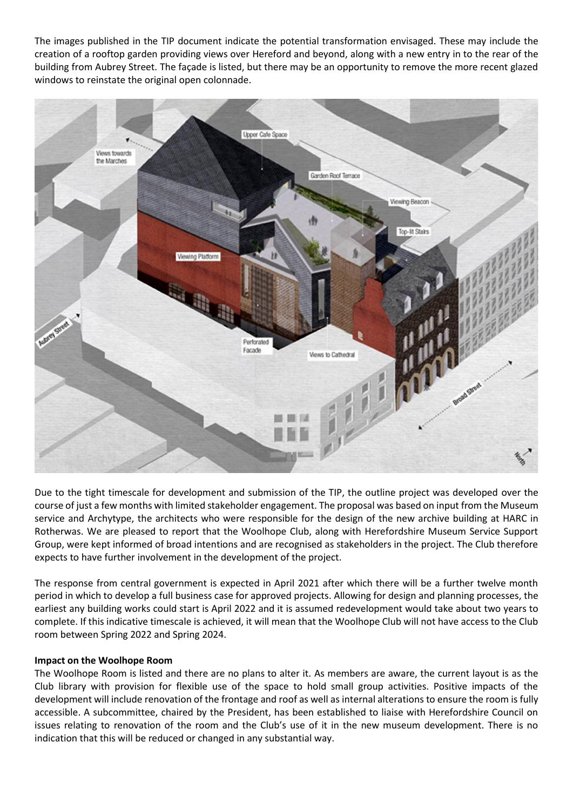The images published in the TIP document indicate the potential transformation envisaged. These may include the creation of a rooftop garden providing views over Hereford and beyond, along with a new entry in to the rear of the building from Aubrey Street. The façade is listed, but there may be an opportunity to remove the more recent glazed windows to reinstate the original open colonnade.



Due to the tight timescale for development and submission of the TIP, the outline project was developed over the course of just a few months with limited stakeholder engagement. The proposal was based on input from the Museum service and Archytype, the architects who were responsible for the design of the new archive building at HARC in Rotherwas. We are pleased to report that the Woolhope Club, along with Herefordshire Museum Service Support Group, were kept informed of broad intentions and are recognised as stakeholders in the project. The Club therefore expects to have further involvement in the development of the project.

The response from central government is expected in April 2021 after which there will be a further twelve month period in which to develop a full business case for approved projects. Allowing for design and planning processes, the earliest any building works could start is April 2022 and it is assumed redevelopment would take about two years to complete. If this indicative timescale is achieved, it will mean that the Woolhope Club will not have access to the Club room between Spring 2022 and Spring 2024.

## **Impact on the Woolhope Room**

The Woolhope Room is listed and there are no plans to alter it. As members are aware, the current layout is as the Club library with provision for flexible use of the space to hold small group activities. Positive impacts of the development will include renovation of the frontage and roof as well as internal alterations to ensure the room is fully accessible. A subcommittee, chaired by the President, has been established to liaise with Herefordshire Council on issues relating to renovation of the room and the Club's use of it in the new museum development. There is no indication that this will be reduced or changed in any substantial way.